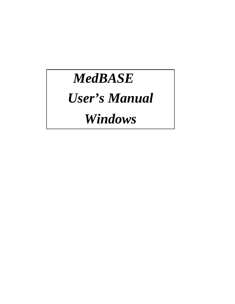# *MedBASE User's Manual Windows*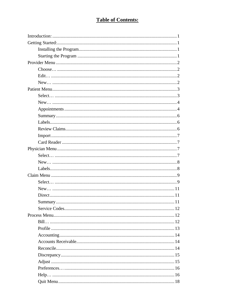# **Table of Contents:**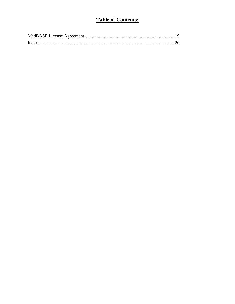# **Table of Contents:**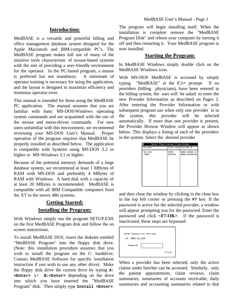# **Introduction:**

MedBASE is a versatile and powerful billing and office management database system designed for the Apple Macintosh and IBM-compatible PC's. The MedBASE program makes full use of many of the intuitive tools characteristic of mouse-based systems with the aim of providing a user-friendly environment for the operator. In the PC-based program, a mouse is preferred but not mandatory. A minimum of operator training is necessary for using the application, and the layout is designed to maximize efficiency and minimize operator error.

This manual is intended for those using the MedBASE PC application. The manual assumes that you are familiar with basic MS-DOS/Windows operating system commands and are acquainted with the use of the mouse and menu-driven commands. For new users unfamiliar with this environment, we recommend reviewing your MS-DOS User's Manual. Proper operation of the program requires that MedBASE be properly installed as described below. The application is compatible with Systems using MS-DOS 3.2 or higher or MS-Windows 3.1 or higher.

Because of the potential memory demands of a large database system, we recommend at least 1 MBytes of RAM with MS-DOS and preferably 4 MBytes of RAM with Windows. A hard disk with a capacity of at least 20 MBytes is recommended. MedBASE is compatible with all IBM Compatible computers from the XT to the newer 486 systems.

# **Getting Started: Installing the Program:**

With Windows simply run the program SETUP.EXE on the first MedBASE Program disk and follow the on screen instructions.

To install MedBASE DOS, insert the diskette entitled "MedBASE Program" into the floppy disk drive. (Note: this installation procedure assumes that you wish to install the program on the C: harddrive. Contact MedBASE Software for specific installation instruction if you wish to use any other drive). Make the floppy disk drive the current drive by typing **A: <Enter>** or **B:<Enter>** depending on the drive into which you have inserted the "MedBASE Program" disk. Then simply type **Install <Enter>**.

The program will begin installing itself. When the installation is complete remove the "MedBASE Program Disk" and reboot your computer by turning it off and then restarting it. Your MedBASE program is now installed.

# **Starting the Program:**

In MedBASE Windows simply double click on the MedBASE Windows icon.

With MS-DOS MedBASE is accessed by simply typing "MedBASE" at the **C:\>** prompt. If no providers (billing physicians), have been entered in the billing system, the user will be asked to enter the new Provider Information as described on Pages 2. After entering the Provider Information or with subsequent program use when only one provider is in the system, this provider will be selected automatically. If more than one provider is present, the Provider Browse Window will appear as shown below. This displays a listing of each of the providers in the system. Select the desired provider

| Select Physician and Clos <u>e Window</u> |                       |                                  |
|-------------------------------------------|-----------------------|----------------------------------|
| Surname                                   | First name Provider # |                                  |
| ALLISON<br><b>JONES</b>                   | JAMES<br>DOUGLAS      | 0000-100008-13<br>0000-224840-60 |

and then close the window by clicking in the close box in the top left corner or pressing the **F7** key. If the password is active for the selected provider, a window will appear prompting you for the password. Enter the password and click **<F7-OK>**. If the password is inactivated, these steps are bypassed.

|                   | Enter Password for Provider: |               |
|-------------------|------------------------------|---------------|
| DR. JAMES ALLISON |                              |               |
| Passuond:         |                              |               |
|                   |                              | $<$ F7-0K $>$ |

When a provider has been selected, only the active claims under him/her can be accessed. Similarly, only the patient appointments, claim reviews, claim summaries, summaries of accounts receivable, daily summaries and accounting summaries related to that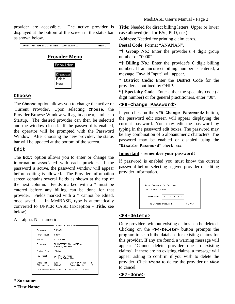provider are accessible. The active provider is displayed at the bottom of the screen in the status bar as shown below.



# **Choose**

The **Choose** option allows you to change the active or 'Current Provider'. Upon selecting **Choose**, the Provider Browse Window will again appear, similar to Startup. The desired provider can then be selected and the window closed. If the password is enabled, the operator will be prompted with the Password Window. After choosing the new provider, the status bar will be updated at the bottom of the screen.

# **Edit**

The **Edit** option allows you to enter or change the information associated with each provider. If the password is active, the password window will appear before editing is allowed. The Provider Information screen contains several fields as shown at the top of the next column. Fields marked with a \* must be entered before any billing can be done for that provider. Fields marked with a † cannot be edited, once saved. In MedBASE, type is automatically converted to UPPER CASE (Exception - **Title**, see below).



|                          | :Provider Information=                                                          |
|--------------------------|---------------------------------------------------------------------------------|
| Surname:                 | <b>ALLISON</b>                                                                  |
| First Name:              | <b>JAMES</b>                                                                    |
| Title:                   | MD, FRCP(C)                                                                     |
| Address:                 | 24 CRESCENT RD., SUITE 3<br>TORONTO, ONTARIO                                    |
| Postal Code:             | M3E4R4                                                                          |
| Pay Type:                | (*) Pay Provider<br>( ) Pay Subscriber                                          |
| Group No:<br>BIlling No: | н<br>District Code:<br>0000<br>100008<br>13<br>Specialty No:                    |
|                          | <f9-change password=""> <f4-delete> <f7-done></f7-done></f4-delete></f9-change> |

**\* Surname**:

**\* First Name**:

**Title**: Needed for direct billing letters. Upper or lower case allowed (ie - for BSc, PhD, etc.)

**Address**: Needed for printing claim cards.

**Postal Code**: Format "ANANAN".

**\*† Group No**.: Enter the provider's 4 digit group number or "0000".

**\*† Billing No**.: Enter the provider's 6 digit billing number. If an incorrect billing number is entered, a message "Invalid Input" will appear.

**\* District Code**: Enter the District Code for the provider as outlined by OHIP.

**\*† Specialty Code**: Enter either the specialty code (2 digit number) or for general practitioners, enter "00".

# **<F9-Change Password>**

If you click on the **<F9-Change Password>** button, the password edit screen will appear displaying the current password. You may edit the password by typing in the password edit boxes. The password may be any combination of 6 alphanumeric characters. The password may be enabled or disabled using the "**Disable Password"** check box.

# **Important** - **remember your password!**

If password is enabled you must know the current password before selecting a given provider or editing provider information.



# **<F4-Delete>**

Only providers without existing claims can be deleted. Clicking on the **<F4-Delete>** button prompts the program to search the database for existing claims for this provider. If any are found, a warning message will appear "Cannot delete provider due to existing claims". If there are no existing claims, a message will appear asking to confirm if you wish to delete the provider. Click **<Yes>** to delete the provider or **<No>** to cancel.

```
<F7-Done>
```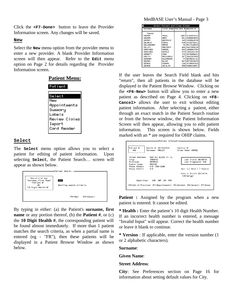Click the **<F7-Done>** button to leave the Provider Information screen. Any changes will be saved.

#### **New**

Select the **New** menu option from the provider menu to enter a new provider. A blank Provider Information screen will then appear. Refer to the **Edit** menu option on Page 2 for details regarding the Provider Information screen.



## **Select**

The **Select** menu option allows you to select a patient for editing of patient information. Upon selecting **Select**, the Patient Search… screen will appear as shown below.



By typing in either: (a) the Patient's **surname, first name** or any portion thereof, (b) the **Patient #**, or (c) the **10 Digit Health #**, the corresponding patient will be found almost immediately. If more than 1 patient matches the search criteria, as when a partial name is entered (eg - "FR"), then these patients will be displayed in a Patient Browse Window as shown below.

MedBASE User's Manual - Page 3

|                  | Select Patient and Close Window |      |                 |
|------------------|---------------------------------|------|-----------------|
|                  |                                 |      |                 |
| Surname          | First Name Patient # Health #   |      |                 |
| Cancel<br>GADSBY | UASIL                           |      | 1007 2124033313 |
| GAGNON           | MARY                            | 841  | 2408049076      |
| GATREY           | <b>BEATRICE</b>                 | 145  | 3359562570      |
| GALANIS          | DORIS                           | 4791 | 2218272611      |
| GALLAUGHER       | MARIA                           | 74   | 9417120533      |
| GALLEY           | MARJORIE                        | 4661 | 4461965610      |
| GARDINER         | SAMUEL                          |      | 548 2996062754  |
| GARDINER         | GEBALD                          |      | 473 1554281434  |
| GARRATT          | <b>TOHN</b>                     |      | 172 3679208631  |
| <b>GASTIS</b>    | <b>ARCHIBALD</b>                |      | 247 2682397035  |
| GATENBY          | ALEXANDRA                       | 77   | 6075033131      |
| <b>GEDDES</b>    | ALL AN                          | 457  | 9572916618      |
| GEORGE           | THOMAS                          | 129  | 3439584933      |
| GEORGE           | CECILIA                         |      | 450 7400433657  |

If the user leaves the Search Field blank and hits "return", then all patients in the database will be displayed in the Patient Browse Window. Clicking on the **<F6-New>** button will allow you to enter a new patient as described on Page 4. Clicking on **<F8- Cancel>** allows the user to exit without editing patient information. After selecting a patient, either through an exact match in the Patient Search routine or from the browse window, the Patient Information Screen will then appear, allowing you to edit patient information. This screen is shown below. Fields marked with an \* are required for OHIP claims.



**Patient :** Assigned by the program when a new patient is entered. It cannot be edited.

**\* Health :** Enter the patient's 10 digit Health Number. If an incorrect health number is entered, a message "Invalid Input" will appear. Correct the health number or leave it blank to continue.

**\* Version** : If applicable, enter the version number (1 or 2 alphabetic characters).

#### **Surname**:

## **Given Name**:

#### **Street Address**:

**City**: See Preferences section on Page 16 for information about setting default values for City.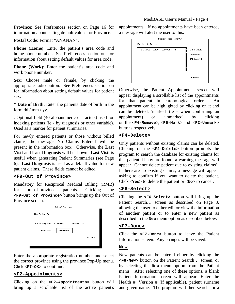**Province**: See Preferences section on Page 16 for information about setting default values for Province.

**Postal Code**: Format "ANANAN".

**Phone (Home)**: Enter the patient's area code and home phone number. See Preferences section on for information about setting default values for area code.

**Phone (Work)**: Enter the patient's area code and work phone number.

**Sex**: Choose male or female, by clicking the appropriate radio button. See Preferences section on for information about setting default values for patient sex.

**\* Date of Birth**: Enter the patients date of birth in the form dd / mm / yy.

: Optional field (40 alphanumeric characters) used for indexing patients (ie - by diagnosis or other variable). Used as a marker for patient summaries.

For newly entered patients or those without billed claims, the message 'No Claims Entered' will be present in the information box. Otherwise, the **Last Visit** and **Last Diagnosis** will be shown. **Last Visit** is useful when generating Patient Summaries (see Page 6). **Last Diagnosis** is used as a default value for new patient claims. These fields cannot be edited.

## **<F9-Out of Province>**

Mandatory for Reciprocal Medical Billing (RMB) for out-of-province patients. Clicking the **<F9-Out of Province>** button brings up the Out of Province screen.



Enter the appropriate registration number and select the correct province using the province Pop-Up menu. Click **<F7-OK>** to continue.

#### **<F2-Appointments>**

Clicking on the **<F2-Appointments>** button will bring up a scrollable list of the active patient's appointments. If no appointments have been entered, a message will alert the user to this.



Otherwise, the Patient Appointments screen will appear displaying a scrollable list of the appointments for that patient in chronological order. An appointment can be highlighted by clicking on it and can be deleted, 'marked' (ie - when confirming an appointment) or 'unmarked' by clicking on the **<F4-Remove>**, **<F6-Mark>** and **<F2-Unmark>** buttons respectively.

#### **<F4-Delete>**

Only patients without existing claims can be deleted. Clicking on the **<F4-Delete>** button prompts the program to search the database for existing claims for this patient. If any are found, a warning message will appear "Cannot delete patient due to existing claims". If there are no existing claims, a message will appear asking to confirm if you want to delete the patient. Click **<Yes>** to delete the patient or **<No>** to cancel.

#### **<F6-Select>**

Clicking the **<F6-Select>** button will bring up the Patient Search… screen as described on Page 3, allowing the user to either edit or view the information of another patient or to enter a new patient as described in the **New** menu option as described below.

#### **<F7-Done>**

Click the **<F7-Done>** button to leave the Patient Information screen. Any changes will be saved.

#### **New**

New patients can be entered either by clicking the **<F6-New>** button on the Patient Search… screen, or by selecting the **New** menu option from the Patient menu After selecting one of these options, a blank Patient Information screen will appear. Enter the Health #, Version # (if applicable), patient surname and given name. The program will then search for a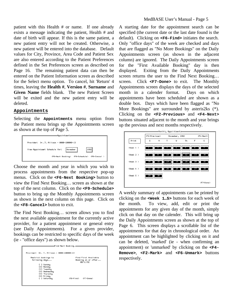patient with this Health # or name. If one already exists a message indicating the patient, Health # and date of birth will appear. If this is the same patient, a new patient entry will not be created. Otherwise, a new patient will be entered into the database. Default values for City, Province, Area Code and Patient Sex are also entered according to the Patient Preferences defined in the Set Preferences screen as described on Page 16. The remaining patient data can then be entered on the Patient Information screen as described for the Select menu option. To cancel, hit 'Return' 4 times, leaving the **Health #**, **Version #**, **Surname** and **Given Name** fields blank. The new Patient Screen will be exited and the new patient entry will be deleted.

#### **Appointments**

Selecting the **Appointments** menu option from the Patient menu brings up the Appointments screen as shown at the top of Page 5.



Choose the month and year in which you wish to process appointments from the respective pop-up menus. Click on the **<F6-Next Booking>** button to view the Find Next Booking… screen as shown at the top of the next column. Click on the **<F9-Schedule>** button to bring up the Monthly Appointments screen as shown in the next column on this page. Click on the **<F8-Cancel>** button to exit.

The Find Next Booking… screen allows you to find the next available appointment for the currently active provider, for a patient appointment or general entry (see Daily Appointments). For a given provider, bookings can be restricted to specific days of the week (ie - "office days") as shown below.

|                                           | — Find Next Bookina…—                   |
|-------------------------------------------|-----------------------------------------|
|                                           |                                         |
|                                           |                                         |
| Provider: Dr. J. Allison - 0000-100008-13 |                                         |
|                                           |                                         |
| Restrict bookings to                      | Find First Available                    |
| following days                            | Booking on or after                     |
|                                           | 88711/92                                |
| [ ] Sunday                                |                                         |
| EXI Monday                                |                                         |
| <b>EXI Tuesday</b>                        |                                         |
| <b>[X] Wednesday</b>                      |                                         |
| [X] Thursday                              |                                         |
|                                           |                                         |
| EXI Friday                                |                                         |
| [ ] Saturday                              | <f6-find> <f7-done></f7-done></f6-find> |
|                                           |                                         |
|                                           |                                         |

A starting date for the appointment search can be specified (the current date or the last date found is the default). Clicking on **<F6-Find>** initiates the search. Only "office days" of the week are checked and days that are flagged as "No More Bookings" on the Daily Appointments screen (as shown in the adjacent column) are ignored. The Daily Appointments screen for the "First Available Booking" day is then displayed. Exiting from the Daily Appointments screen returns the user to the Find Next Booking… screen. Click **<F7-Done>** to exit. The Monthly Appointments screen displays the days of the selected month in a calender format. Days on which appointments have been scheduled are shown as a double box. Days which have been flagged as "No More Bookings" are surrounded by asteris2ks (\*). Clicking on the **<F2-Previous>** and **<F4-Next>** buttons situated adjacent to the month and year brings up the previous and next months respectively.



A weekly summary of appointments can be printed by clicking on the **<Week 1…5>** buttons for each week of the month. To view, add, edit or print the appointments for any given day of the month, simply click on that day on the calender. This will bring up the Daily Appointments screen as shown at the top of Page 6. This screen displays a scrollable list of the appointments for that day in chronological order. An appointment can be highlighted by clicking on it and can be deleted, 'marked' (ie - when confirming an appointment) or 'unmarked' by clicking on the **<F4- Remove>**, **<F2-Mark>** and **<F6-Unmark>** buttons respectively.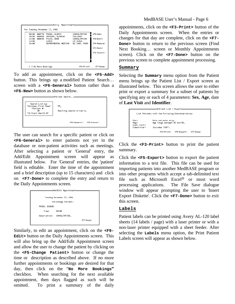| 09:00 |                        | 000779 FRIED, GLADYS               | <b>CONSULTATION</b>      | <f5-add></f5-add>       |
|-------|------------------------|------------------------------------|--------------------------|-------------------------|
| 10:00 | 000650<br>11:00 000445 | ORPWOOD, BLANCHE<br>PICCO, GENE    | FOLLOWUP<br>CONSULTATION | $<$ F9-Edit>            |
| 12:00 |                        | LUNCH                              | LA SCALA                 |                         |
| 14:00 |                        | DEPARTMENTAL MEETING B2 CONF. ROOM |                          | <f4-remove></f4-remove> |
|       |                        |                                    |                          | <f2-mark></f2-mark>     |
|       |                        |                                    |                          | <f6-unmark></f6-unmark> |
|       |                        |                                    |                          |                         |
|       |                        |                                    |                          |                         |

To add an appointment, click on the **<F5-Add>** button. This brings up a modified Patient Search… screen with a **<F6-General>** button rather than a **<F6-New>** button as shown below.



The user can search for a specific patient or click on **<F6-General>** to enter patients not yet in the database or non-patient activities such as meetings. After selecting a patient or 'General' entry, the Add/Edit Appointment screen will appear as illustrated below. For 'General' entries, the 'patient' field is editable. Enter the time of the appointment and a brief description (up to 15 characters) and click on **<F7-Done>** to complete the entry and return to the Daily Appointments screen.



Similarly, to edit an appointment, click on the **<F9- Edit>** button on the Daily Appointments screen. This will also bring up the Add/Edit Appointment screen and allow the user to change the patient by clicking on the **<F5-Change Patient>** button or change the time or description as described above. If no more further appointments or bookings are desired for that day, then click on the "**No More Bookings"**  checkbox. When searching for the next available appointment, then days flagged as such will be omitted. To print a summary of the daily

appointments, click on the **<F3-Print>** button of the Daily Appointments screen. When the entries or changes for that day are complete, click on the **<F7- Done>** button to return to the previous screen (Find Next Booking… screen or Monthly Appointments screen). Click on the **<F7-Done>** button on the previous screen to complete appointment processing.

#### **Summary**

Selecting the **Summary** menu option from the Patient menu brings up the Patient List / Export screen as illustrated below. This screen allows the user to either print or export a summary for a subset of patients by specifying any or each of 4 parameters: **Sex**, **Age**, date of **Last Visit** and **Identifier**.



Click the **<F3-Print>** button to print the patient summary.

Click the **<F5-Export>** button to export the patient information to a text file. This file can be used for importing patients into another MedBASE program or into other programs which accept a tab-delimited text file such as Microsoft Excel® or most word processing applications. The File Save dialogue window will appear prompting the user to 'Insert Export Diskette'. Click the **<F7-Done>** button to exit this screen.

#### **Labels**

Patient labels can be printed using Avery AL-120 label sheets (14 labels / page) with a laser printer or with a non-laser printer equipped with a sheet feeder. After selecting the **Labels** menu option, the Print Patient Labels screen will appear as shown below.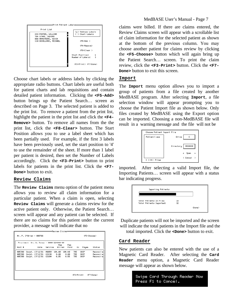

Choose chart labels or address labels by clicking the appropriate radio buttons. Chart labels are useful both for patient charts and lab requisitions and contain detailed patient information. Clicking the **<F5-Add>** button brings up the Patient Search… screen as described on Page 3. The selected patient is added to the print list. To remove a patient from the print list, highlight the patient in the print list and click the **<F4- Remove>** button. To remove all names from the the print list, click the **<F8-Clear>** button. The Start Position allows you to use a label sheet which has been partially used. For example, if the first 3 labels have been previously used, set the start position to '4' to use the remainder of the sheet. If more than 1 label per patient is desired, then set the Number of Labels accordingly. Click the **<F3-Print>** button to print labels for patients in the print list. Click the **<F7- Done>** button to exit.

#### **Review Claims**

The **Review Claims** menu option of the patient menu allows you to review all claim information for a particular patient. When a claim is open, selecting **Review Claims** will generate a claims review for the active patient only. Otherwise, the Patient Search… screen will appear and any patient can be selected. If there are no claims for this patient under the current provider, a message will indicate that no

|           |                               |              | =Review Claims= |             |                       |       |                         |
|-----------|-------------------------------|--------------|-----------------|-------------|-----------------------|-------|-------------------------|
|           | Mr. P. O'Brien - 800766       |              |                 |             |                       |       | <f5-choose></f5-choose> |
| Providen: | Dr. D. Jones - 0000-224040-60 |              |                 |             |                       |       |                         |
| Acct #    | Date                          | Service      | Fee<br>Billed   | Fee<br>Paid | D×.                   | Payee | Status                  |
| 005708    | Outpt. 17/12/91               | <b>A605A</b> | 104.40          | 104.40      | 785                   | OHIP  | Reconcile               |
| 005708    | Outpt. 17/12/91               | G313A        | 8.80            | 8.80        | 785                   | OHIP  | Reconcile               |
| 005708    | Outpt. 17/12/91               | G310A        | 6.55            | 6.55        | 785                   | OHIP  | Reconcile               |
|           |                               |              |                 |             | <f3-print></f3-print> |       | <f7-done></f7-done>     |

claims were billed. If there are claims entered, the Review Claims screen will appear with a scrollable list of claim information for the selected patient as shown at the bottom of the previous column. You may choose another patient for claims review by clicking the **<F5-Choose>** button which will again bring up the Patient Search… screen. To print the claim review, click the **<F3-Print>** button. Click the **<F7- Done>** button to exit this screen.

#### **Import**

The **Import** menu option allows you to import a group of patients from a file created by another MedBASE program. After selecting **Import**, a file selection window will appear prompting you to choose the Patient Import file as shown below. Only files created by MedBASE using the Export option can be imported. Choosing a non-MedBASE file will result in a warning message and the file will not be



imported. After selecting a valid Import file, the Importing Patients… screen will appear with a status bar indicating progress.



Duplicate patients will not be imported and the screen will indicate the total patients in the Import file and the total imported. Click the **<Done>** button to exit.

#### **Card Reader**

New patients can also be entered with the use of a Magnetic Card Reader. After selecting the **Card Reader** menu option, a Magnetic Card Reader message will appear as shown below.

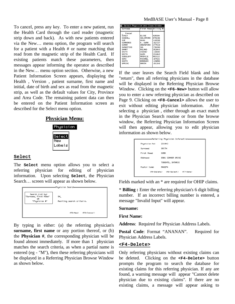To cancel, press any key. To enter a new patient, run the Health Card through the card reader (magnetic strip down and back). As with new patients entered via the New… menu option, the program will search for a patient with a Health # or name matching that read from the magnetic strip of the Health Card. If existing patients match these parameters, then messages appear informing the operator as described in the New… menu option section. Otherwise, a new Patient Information Screen appears, displaying the Health , Version , patient surname, first name and initial, date of birth and sex as read from the magnetic strip, as well as the default values for City, Province and Area Code. The remaining patient data can then be entered on the Patient Information screen as described for the Select menu option.



#### **Select**

The **Select** menu option allows you to select a referring physician for editing of physician information. Upon selecting **Select**, the Physician Search… screen will appear as shown below.



By typing in either: (a) the referring physician's **surname, first name** or any portion thereof, or (b) the **Physician #**, the corresponding physician will be found almost immediately. If more than 1 physician matches the search criteria, as when a partial name is entered (eg - "M"), then these referring physicians will be displayed in a Referring Physician Browse Window as shown below.

| Select Phusician and Close Window                                                                                                             |                                                                                                                                                 |                                                                                                                                |
|-----------------------------------------------------------------------------------------------------------------------------------------------|-------------------------------------------------------------------------------------------------------------------------------------------------|--------------------------------------------------------------------------------------------------------------------------------|
| Surname                                                                                                                                       | First Name Billing #                                                                                                                            |                                                                                                                                |
| Cance I<br>SCALA<br>SIDDALL<br>SIE<br>SIMMONDS<br>SIRNA<br><b>SKRASTINS</b><br>SMART<br>SMITH<br>SMITH<br>SOBOLOFF<br>SONT<br>SOOTS<br>SPRING | <b>ELISE</b><br>SALUATORE<br>HUGH<br>K. GWAN<br>WRENSFORD<br>SAL.<br>BOL AND<br><b>SYDNEY</b><br>GLEN<br>MAURICE<br>MICHAEL<br>EBRAHIM<br>MARJA | 825684<br>879236<br>210930<br>162727<br>277418<br>276899<br>252643<br>110684<br>231043<br>083121<br>187821<br>129056<br>101246 |

If the user leaves the Search Field blank and hits "return", then all referring physicians in the database will be displayed in the Referring Physician Browse Window. Clicking on the **<F6-New>** button will allow you to enter a new referring physician as described on Page 9. Clicking on **<F8-Cancel>** allows the user to exit without editing physician information. After selecting a physician , either through an exact match in the Physician Search routine or from the browse window, the Referring Physician Information Screen will then appear, allowing you to edit physician information as shown below.

|               | —————Referring Physician Information—————————————                   |
|---------------|---------------------------------------------------------------------|
|               |                                                                     |
| Physician No: | 231043                                                              |
| Surnome:      | SMITH                                                               |
| First Name:   | GORD                                                                |
| Bddress:      | 8901 CONNOR DRIVE                                                   |
|               | TORONTO, ONTARIO                                                    |
| Postal Code:  | M4B2F4                                                              |
|               | <f4-delete> <f6-select> <f7-done></f7-done></f6-select></f4-delete> |
|               |                                                                     |

Fields marked with an \* are required for OHIP claims.

\* **Billing :** Enter the referring physician's 6 digit billing number. If an incorrect billing number is entered, a message "Invalid Input" will appear.

#### **Surname:**

#### **First Name:**

**Address**: Required for Physician Address Labels.

Postal Code: Format "ANANAN". Required for Physician Address Labels.

#### **<F4-Delete>**

Only referring physicians without existing claims can be deleted. Clicking on the **<F4-Delete>** button prompts the program to search the database for existing claims for this referring physician. If any are found, a warning message will appear "Cannot delete physician due to existing claims". If there are no existing claims, a message will appear asking to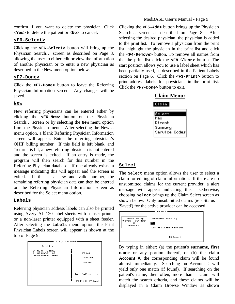confirm if you want to delete the physician. Click **<Yes>** to delete the patient or **<No>** to cancel.

#### **<F6-Select>**

Clicking the **<F6-Select>** button will bring up the Physician Search… screen as described on Page 8, allowing the user to either edit or view the information of another physician or to enter a new physician as described in the New menu option below.

#### **<F7-Done>**

Click the **<F7-Done>** button to leave the Referring Physician Information screen. Any changes will be saved.

#### **New**

New referring physicians can be entered either by clicking the **<F6-New>** button on the Physician Search… screen or by selecting the **New** menu option from the Physician menu. After selecting the New… menu option, a blank Referring Physician Information screen will appear. Enter the referring physician's OHIP billing number. If this field is left blank, and "return" is hit, a new referring physician is not entered and the screen is exited. If an entry is made, the program will then search for this number in the Referring Physician database. If one already exists, a message indicating this will appear and the screen is exited. If this is a new and valid number, the remaining referring physician data can then be entered on the Referring Physician Information screen as described for the Select menu option.

#### **Labels**

Referring physician address labels can also be printed using Avery AL-120 label sheets with a laser printer or a non-laser printer equipped with a sheet feeder. After selecting the **Labels** menu option, the Print Physician Labels screen will appear as shown at the top of Page 9.



Clicking the **<F5-Add>** button brings up the Physician Search… screen as described on Page 8. After selecting the desired physician, the physician is added to the print list. To remove a physician from the print list, highlight the physician in the print list and click the **<F4-Remove>** button. To remove all names from the the print list click the **<F8-Clear>** button. The start position allows you to use a label sheet which has been partially used, as described in the Patient Labels section on Page 6. Click the **<F3-Print>** button to print address labels for physicians in the print list. Click the **<F7-Done>** button to exit.

| Claim                                               |
|-----------------------------------------------------|
| Select<br>New<br>Direct<br>Summary<br>Service Codes |

#### **Select**

The **Select** menu option allows the user to select a claim for editing of claim information. If there are no unsubmitted claims for the current provider, a alert message will appear indicating this. Otherwise, choosing **Select** brings up the Claim Select screen as shown below. Only unsubmitted claims (ie - Status  $=$ 'Saved') for the active provider can be accessed.



By typing in either: (a) the patient's **surname, first name** or any portion thereof, or (b) the claim **Account #**, the corresponding claim will be found almost immediately. Searching on Account # will yield only one match (if found). If searching on the patient's name, then often, more than 1 claim will match the search criteria, and these claims will be displayed in a Claim Browse Window as shown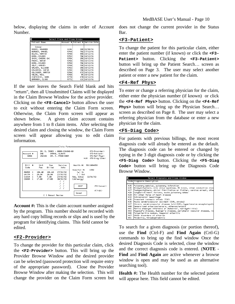below, displaying the claims in order of Account Number.

|                  | Select Claim and Close Window |                                  |
|------------------|-------------------------------|----------------------------------|
| Patient Name     |                               | Rocount # Patient # Service Date |
| Cance I          |                               |                                  |
| RASMI, MOHAMED   | 4494                          | 389 22/08/91                     |
| BORDEN, DANIEL   | 5748                          | 792 17/12/91                     |
| BULAI, MARTIN    | 5750                          | 556 18/12/91                     |
| BIRD, EILEEN     | 5752                          | 79 18/12/91                      |
| SHIN, CHOONG CHI | 5754                          | 255 18/12/91                     |
| PAKRI, ARTUR     | 5756                          | 793 18/12/91                     |
| BIRD, EILEEN     | 5758                          | 79 18/12/91                      |
| SELF, HARVEY     | 5760                          | 795 18/12/91                     |
| WALKER, ELLWOOD  | 5762                          | 256 18/12/91                     |
| KALSATOS, SOFIA  | 5764                          | 796 18/12/91                     |
| OSLINGER, MARTIN | 5766                          | 672 18/12/91                     |
| VELDE, NEIL      | 5768                          | 54 18/12/91                      |
| CUETKOUIC, UERA  | 5770                          | 678 18/12/91                     |
| BARNABY, CLYDE   | 5772                          | 121 18/12/91                     |

If the user leaves the Search Field blank and hits "return", then all Unsubmitted Claims will be displayed in the Claim Browse Window for the active provider. Clicking on the **<F8-Cancel>** button allows the user to exit without entering the Claim Form screen. Otherwise, the Claim Form screen will appear as shown below. A given claim account contains anywhere from 1 to 8 claim items. After selecting the desired claim and closing the window, the Claim Form screen will appear allowing you to edit claim information.



**Account #:** This is the claim account number assigned by the program. This number should be recorded with any hard copy billing records or slips and is used by the program for identifying claims. This field cannot be edited.

#### **<F2-Provider>**

To change the provider for this particular claim, click the **<F2-Provider>** button. This will bring up the Provider Browse Window and the desired provider can be selected (password protection will require entry of the appropriate password). Close the Provider Browse Window after making the selection. This will change the provider on the Claim Form screen but

does not change the current provider in the Status Bar.

#### **<F3-Patient>**

To change the patient for this particular claim, either enter the patient number (if known) or click the **<F3- Patient>** button. Clicking the **<F3-Patient>**  button will bring up the Patient Search… screen as described on Page 3. The user may select another patient or enter a new patient for the claim.

#### **<F4-Ref Phys>**

To enter or change a referring physician for the claim, either enter the physician number (if known) or click the **<F4-Ref Phys>** button. Clicking on the **<F4-Ref Phys>** button will bring up the Physician Search… screen as described on Page 8. The user may select a referring physician from the database or enter a new physician for the claim.

#### **<F5-Diag Code>**

For patients with previous billings, the most recent diagnosis code will already be entered as the default. The diagnosis code can be entered or changed by typing in the 3 digit diagnosis code or by clicking the **<F5-Diag Code>** button. Clicking the **<F5-Diag Code>** button will bring up the Diagnosis Code Browse Window.

|     | Select Diagnosis and Close Window                                     |
|-----|-----------------------------------------------------------------------|
|     | Code Diagnosis Description                                            |
| 415 | Pulmonary embolus, pulmonary infarction                               |
| 426 | Bradyarrhythmia, sick sinus syndrome, AV block, other conduction disc |
| 427 | Tachyarrhythmia, atrial fibrillation or flutter, cardiac arrest, othe |
| 428 | Congestive heart failure, acute pulmonary edema                       |
| 429 | All other forms of heart disease                                      |
| 432 | Intracranial hemorrhage                                               |
| 435 | Transient ischemic attack (TIA)                                       |
| 436 | Route cerebrovascular accident (CUR, stroke)                          |
| 437 | Chronic cerebrovascular disease (old CVA), hypertensive encephalopath |
| 440 | Generalized arteriosclerosis, atherosclerosis                         |
| 441 | Rontic aneurysm (thoracic or abdominal, non-syphilitic)               |
| 443 | Raynaud's disease, Buerger's disease, peripheral vascular disease, in |
| 446 | Polyarteritis nodosa, temporal arteritis                              |
| 447 | Other disorders of arteries                                           |
| 451 | Phlebitis, thrombophlebitis                                           |

To search for a given diagnosis (or portion thereof), use the **Find** (Ctrl-F) and **Find Again** (Crtl-G) commands to bring up the find window Once the desired Diagnosis Code is selected, close the window and the correct diagnosis code is entered. (**NOTE** - **Find** and **Find Again** are active whenever a browse window is open and may be used as an alternative searching tool).

**Health #:** The Health number for the selected patient will appear here. This field cannot be edited.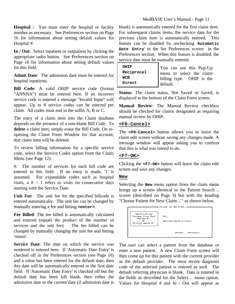**Hospital :** You must enter the hospital or facility number as necessary. See Preferences section on Page 16 for information about setting default values for Hospital #.

**In / Out**: Select inpatient or outpatient by clicking the appropriate radio button. See Preferences section on Page 16 for information about setting default values for this field.

**Admit Date**: The admission date must be entered for hospital inpatients.

**Bill Code**: A valid OHIP service code (format "ANNNA") must be entered here. If an incorrect service code is entered a message "Invalid Input" will appear. Up to 8 service codes can be entered per claim. All codes must end in the suffix A, B or C.

The entry of a claim item into the Claim database depends on the presence of a non-blank Bill Code. To **delete** a claim item, simply erase the Bill Code. On reopening the Claim Form Window for that account, that claim item will be deleted.

To review billing information for a specific service code, select the Service Codes option from the Claim Menu (see Page 12).

#: The number of services for each bill code are entered in this field. If no entry is made, '1' is assumed. For expandable codes such as hospital visits,  $a \# > 1$  refers to visits on consecutive days starting with the Service Date.

**Unit Fee**: The unit fee for the specified billcode is entered automatically. The unit fee can be changed by manually entering a fee and hitting **<enter>**.

**Fee Billed**: The fee billed is automatically calculated and entered (equals the product of the number of services and the unit fee). The fee billed can be changed by manually changing the unit fee and hitting 'return'.

**Service Date:** The date on which the service was rendered is entered here. If 'Automatic Date Entry' is checked off in the Preferences section (see Page 16) and a value has been entered for the default date, then this date will be automatically entered in the first date field. If 'Automatic Date Entry' is checked off but the default date has been left blank, then either the admission date or the current date (if admission date is

blank) is automatically entered for the first claim item. For subsequent claims items, the service date for the previous claim item is automatically entered. This feature can be disabled by unchecking '**Automatic Date Entry**' in the Set Preferences screen in the Preferences section. When this feature is disabled, the service date must be manually entered.

| OHIP       |                                                                                  |
|------------|----------------------------------------------------------------------------------|
| Reciprocal | You can use this Pop-Up<br>menu to select the claim<br>billing type. OHIP is the |
| <b>WCB</b> |                                                                                  |
| Direct     | default.                                                                         |

**Status**: The claim status, Not Saved or Saved, is displayed at the bottom of the Claim Form screen.

**Manual Review**: The Manual Review checkbox should be checked for claims designated as requiring manual review by OHIP.

#### **<F8-Cancel>**

The **<F8-Cancel>** button allows you to leave the claim edit screen without saving any changes made. A message window will appear asking you to confirm that this is what you intend to do.

#### **<F7-OK>**

Clicking the **<F7-OK>** button will leave the claim edit screen and save any changes.

#### **New**

Selecting the **New** menu option from the claim menu brings up a screen identical to the Patient Search... screen (described on Page 3) but with the heading "Choose Patient for New Claim…" as shown below.

| 'Patient #'         |                           |
|---------------------|---------------------------|
| ΩB                  | Awaiting search criteria. |
| '10 Digit Health #' |                           |

The user can select a patient from the database or enter a new patient. A new Claim Form screen will then come up for this patient with the current provider as the default provider. The most recent diagnosis code of the selected patient is entered as well. The default referring physician is blank. Data is entered in the fields as described for the Select… menu option. Values for Hospital  $#$  and In / Out will appear as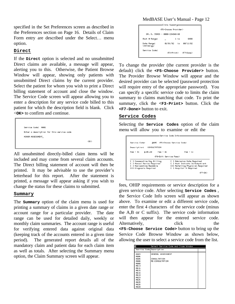specified in the Set Preferences screen as described in the Preferences section on Page 16. Details of Claim Form entry are described under the Select… menu option.

#### **Direct**

If the **Direct** option is selected and no unsubmitted Direct claims are available, a message will appear, alerting you to this. Otherwise, the Patient Browse Window will appear, showing only patients with unsubmitted Direct claims by the current provider. Select the patient for whom you wish to print a Direct billing statement of account and close the window. The Service Code screen will appear allowing you to enter a description for any service code billed to this patient for which the description field is blank. Click <**OK>** to confirm and continue.



All unsubmitted directly-billed claim items will be included and may come from several claim accounts. The Direct billing statement of account will then be printed. It may be advisable to use the provider's letterhead for this report. After the statement is printed, a message will appear asking if you wish to change the status for these claims to submitted.

#### **Summary**

The **Summary** option of the claim menu is used for printing a summary of claims in a given date range or account range for a particular provider. The date range can be used for detailed daily, weekly or monthly claim summaries. The account range is useful for verifying entered data against original data (keeping track of the accounts entered in a given time period). The generated report details all of the mandatory claim and patient data for each claim item as well as totals. After selecting the Summary menu option, the Claim Summary screen will appear.

#### MedBASE User's Manual - Page 12

|                               | ————————Claim Summary——             |      |                     |  |
|-------------------------------|-------------------------------------|------|---------------------|--|
|                               |                                     |      |                     |  |
|                               | <e5-choose provider=""></e5-choose> |      |                     |  |
| DB. D. JONES – 0000–224840–60 |                                     |      |                     |  |
| Root # Range:                 |                                     | 1 to | 6998                |  |
| Date Range:<br>$(dd'$ mm/yy)  | 81/81/92                            | In   | 88/11/92            |  |
| Service Code:                 | $\langle$ F3-Print $\rangle$        |      | <f7-done></f7-done> |  |

To change the provider (the current provider is the default) click the **<F5-Choose Provider>** button. The Provider Browse Window will appear and the desired provider can be selected (password protection will require entry of the appropriate password). You can specify a specific service code to limits the claim summary to claims matching that code. To print the summary, click the **<F3-Print>** button. Click the **<F7-Done>** button to exit.

#### **Service Codes**

Selecting the **Service Codes** option of the claim menu will allow you to examine or edit the

| Service Code:               | A605 <f5-choose code="" service=""></f5-choose> |
|-----------------------------|-------------------------------------------------|
|                             |                                                 |
| Description: CONSULTATION   |                                                 |
| Fee - A: \$104.40 Fee - B:  | $Fee - C$ :                                     |
|                             | <f9-edit fees="" service=""></f9-edit>          |
| E I Consecutive Day Billing | [ ] Admission Date Required                     |
| [ ] Manual Review Required  | [ ] Must Indicate In/Outpatient                 |
| [ ] Non-machine Readable    | [X] Referring Physician Required                |
| [X] Diagnosis Required      | [ ] Hospital # Required                         |
|                             | <f7-0k></f7-0k>                                 |

fees, OHIP requirements or service description for a given service code. After selecting **Service Codes** , the Service Code Info screen will appear as shown above. To examine or edit a different service code, enter the first 4 characters of the service code (minus the A,B or C suffix). The service code information will then appear for the entered service code. Alternatively, click the **<F5-Choose Service Code>** button to bring up the Service Code Browse Window as shown below, allowing the user to select a service code from the list.

| Ι                        | Select Service Code and Close Window |  |
|--------------------------|--------------------------------------|--|
| Service Code Description |                                      |  |
| <b>A603</b>              | GENERAL ASSESSMENT                   |  |
| A604                     |                                      |  |
| A605                     | CONSULTATION                         |  |
| A606                     | RE-CONSULTATION                      |  |
| <b>A608</b>              |                                      |  |
| A613                     |                                      |  |
| A614                     |                                      |  |
| <b>A615</b>              |                                      |  |
| A616                     |                                      |  |
| A618                     |                                      |  |
| A623                     |                                      |  |
| A624                     |                                      |  |
| A625                     |                                      |  |
| A626                     |                                      |  |
| A628                     |                                      |  |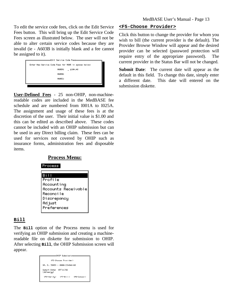To edit the service code fees, click on the Edit Service Fees button. This will bring up the Edit Service Code Fees screen as illustrated below. The user will not be able to alter certain service codes because they are invalid (ie - A603B is initially blank and a fee cannot be assigned to it).

| =Edit Service Code Fees========                       |  |
|-------------------------------------------------------|--|
| Enter New Service Code Fees for A605 in spaces below: |  |
| A605A:<br>$-$ \$104.40                                |  |
| <b>A605B:</b>                                         |  |
| A605C:                                                |  |
|                                                       |  |

**User-Defined Fees** - 25 non-OHIP, non-machinereadable codes are included in the MedBASE fee schedule and are numbered from I001A to I025A. The assignment and usage of these fees is at the discretion of the user. Their initial value is \$1.00 and this can be edited as described above. These codes cannot be included with an OHIP submission but can be used in any Direct billing claim. These fees can be used for services not covered by OHIP such as insurance forms, administration fees and disposable items.

# **Process Menu:**



Profile Recounting Accounts Receivable Reconcile Discrepancy Ad just Preferences

# **Bill**

The **Bill** option of the Process menu is used for verifying an OHIP submission and creating a machinereadable file on diskette for submission to OHIP. After selecting **Bill**, the OHIP Submission screen will appear.



## **<F5-Choose Provider>**

Click this button to change the provider for whom you wish to bill (the current provider is the default). The Provider Browse Window will appear and the desired provider can be selected (password protection will require entry of the appropriate password). The current provider in the Status Bar will not be changed.

**Submit Date**: The current date will appear as the default in this field. To change this date, simply enter a different date. This date will entered on the submission diskette.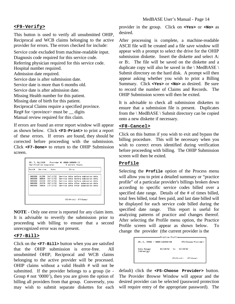#### **<F9-Verify>**

This button is used to verify all unsubmitted OHIP, Reciprocal and WCB claims belonging to the active provider for errors. The errors checked for include: Service code excluded from machine-readable input. Diagnosis code required for this service code. Referring physician required for this service code. Hospital number required. Admission date required. Service date is after submission date. Service date is more than 6 months old. Service date is after admission date. Missing Health number for this patient. Missing date of birth for this patient. Reciprocal Claims require a specified province. Reg# for  $\langle$ province $\rangle$  must be \_\_ digits Manual review required for this claim.

If errors are found an error report window will appear as shown below. Click **<F3-Print>** to print a report of these errors. If errors are found, they should be corrected before proceeding with the submission. Click **<F7-Done>** to return to the OHIP Submission screen.

| Acct#  | Service | Date                  | Error                                                    |
|--------|---------|-----------------------|----------------------------------------------------------|
| 886399 | A135A   | 14/11/92              | Service date before admission date                       |
| 888388 | A001A   | 14/11/92              | Service date before admission date                       |
| 886389 |         | G3138 15/11/92        | Service date before admission date                       |
|        |         | 006999 Z437A 16/11/92 | Service date after submission date                       |
|        |         |                       | 006999 J0018 17/11/92 Service date after submission date |
|        |         |                       |                                                          |
|        |         |                       |                                                          |

**NOTE** - Only one error is reported for any claim item. It is advisable to reverify the submission prior to proceeding with billing to ensure that a second unrecognized error was not present.

#### **<F7-Bill>**

Click on the **<F7-Bill>** button when you are satisfied that the OHIP submission is error-free. All unsubmitted OHIP, Reciprocal and WCB claims belonging to the active provider will be processed. OHIP claims without a valid Health # will not be submitted. If the provider belongs to a group (ie - Group # not '0000'), then you are given the option of billing all providers from that group. Conversely, you may wish to submit separate diskettes for each

provider in the group. Click on **<Yes>** or **<No>** as desired.

After processing is complete, a machine-readable ASCII file will be created and a file save window will appear with a prompt to select the drive for the OHIP submission diskette. Insert the diskette and select A: or B:. The file will be saved on the diskette and a duplicate copy will also be saved in the  $\setminus$  MedBASE  $\setminus$ Submit directory on the hard disk. A prompt will then appear asking whether you wish to print a Billing Summary. Click **<Yes>** or **<No>** as desired. Be sure to record the number of Claims and Records. The OHIP Submission screen will then be exited.

It is advisable to check all submission diskettes to ensure that a submission file is present. Duplicates from the \ MedBASE \ Submit directory can be copied onto a new diskette if necessary.

#### **<F8-Cancel>**

Click on this button if you wish to exit and bypass the billing procedure. This will be necessary when you wish to correct errors identified during verification before proceeding with billing. The OHIP Submission screen will then be exited.

#### **Profile**

Selecting the **Profile** option of the Process menu will allow you to print a detailed summary or "practice" profile" of a particular provider's billings broken down according to specific service codes billed over a specified date range. Details of the # of times billed, total fees billed, total fees paid, and last date billed will be displayed for each service code billed during the specified date range. This report is useful for analyzing patterns of practice and changes thereof. After selecting the Profile menu option, the Practice Profile screen will appear as shown below. To change the provider (the current provider is the

| DR. D. JONES - 0000-224840-60 |                      |                              | <f5-choose provider=""></f5-choose> |
|-------------------------------|----------------------|------------------------------|-------------------------------------|
| Date Range:<br>(dd/mm/yy)     | 01/10/92 to 31/10/92 |                              |                                     |
|                               |                      | $\langle$ F3-Print $\rangle$ | <f7-done></f7-done>                 |

default) click the **<F5-Choose Provider>** button. The Provider Browse Window will appear and the desired provider can be selected (password protection will require entry of the appropriate password). The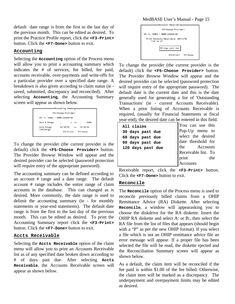default date range is from the first to the last day of the previous month. This can be edited as desired. To print the Practice Profile report, click the **<F3-Print>** button. Click the **<F7-Done>** button to exit.

#### **Accounting**

Selecting the **Accounting** option of the Process menu will allow you to print a accounting summary which indicates the # of services, fee billed, fee paid, accounts receivable, over-payments and write-offs for a particular provider over a specified date range. A breakdown is also given according to claim status (ie saved, submitted, discrepancy and reconciled). After selecting **Accounting**, the Accounting Summary screen will appear as shown below.

| — Accounting Summary—                                                                    |
|------------------------------------------------------------------------------------------|
| <e5-choose provider=""></e5-choose>                                                      |
| DR. D. JONES - 0000-224840-60                                                            |
| 6998<br>Root # Range:<br>to.                                                             |
| 31/10/92<br>01/10/92<br>$\mathbf{f} \circ \mathbf{f}$<br>Date Range:<br>$(dd'$ mm/ $yq)$ |
| <f7-done><br/><f3-print></f3-print></f7-done>                                            |
|                                                                                          |

To change the provider (the current provider is the default) click the **<F5-Choose Provider>** button. The Provider Browse Window will appear and the desired provider can be selected (password protection will require entry of the appropriate password).

The accounting summary can be defined according to an account # range and a date range. The default account # range includes the entire range of claim accounts in the database. This can changed as is desired. More commonly, the date range is used to delimit the accounting summary (ie - for monthly statements or year-end statements). The default date range is from the first to the last day of the previous month. This can be edited as desired. To print the Accounting Summary report click the **<F3-Print>** button. Click the **<F7-Done>** button to exit.

#### **Accts Receivable**

Selecting the **Accts Receivable** option of the claim menu will allow you to print an Accounts Receivable list as of any specified date broken down according to # of days past due. After selecting **Accts Receivable**, the Accounts Receivable screen will appear as shown below.

#### MedBASE User's Manual - Page 15

| <e5-choose provider=""></e5-choose>              |
|--------------------------------------------------|
| DR. D. JONES - 0000-224840-60                    |
| Print Accounts Receivable 08/11/92<br>list as of |
| 60 days past due                                 |
| <f3-print> <f7-done></f7-done></f3-print>        |

To change the provider (the current provider is the default) click the **<F5-Choose Provider>** button. The Provider Browse Window will appear and the desired provider can be selected (password protection will require entry of the appropriate password). The default date is the current date and this is the date generally used for generating a list of 'Outstanding Transactions' (ie - current Accounts Receivable). When a prior listing of Accounts Receivable is required, (usually for Financial Statements at fiscal year-end), the desired date can be entered in this field.

| All claims        | You can use this    |
|-------------------|---------------------|
| 30 days past due  | Pop-Up menu to      |
| 60 days past due  | select the desired  |
| 90 days past due  | date threshold for  |
| 120 days past due | the<br>Accounts     |
|                   | Receivable list. To |
|                   | print<br>the        |
|                   | <b>Accounts</b>     |
|                   |                     |

Receivable report, click the **<F3-Print>** button. Click the **<F7-Done>** button to exit.

#### **Reconcile**

The **Reconcile** option of the Process menu is used to reconcile previously billed claims from a OHIP Remittance Advice (RA) Diskette. After selecting **Reconcile**, a window will appearasking you to choose the diskdrive for the RA diskette. Insert the OHIP RA diskette and select A: or B:, then select the RA file from the list of files that appears (should begin with a "P" as per the new OHIP format). If you select a file which is not an OHIP remittance advice file an error message will appear. If a proper file has been selected the file will be read, the diskette ejected and the Reconciliation Summary screen will appear as shown below.

As a default, the claim item will be reconciled if the fee paid is within \$1.00 of the fee billed. Otherwise, the claim item will be marked as a discrepancy. The underpayment and overpayment limits may be edited as desired.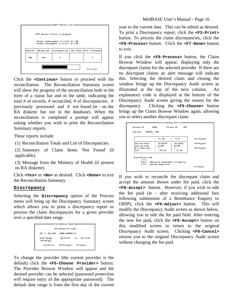

Click the **<Continue>** button to proceed with the reconciliation. The Reconciliation Summary screen will show the progress of the reconciliation both in the form of a status bar and in the table, indicating the total # of records, # reconciled, # of discrepancies, # previously processed and # not found (ie - on the RA diskette but not in the database). When the reconciliation is completed a prompt will appear asking whether you wish to print the Reconciliation Summary reports.

These reports include:

(1) Reconciliation Totals and List of Discrepancies.

 (2) Summary of Claim Items 'Not Found' (if applicable).

 (3) Message from the Ministry of Health (if present on RA diskette).

Click **<Yes>** or **<No>** as desired. Click **<Done>** to exit the Reconciliation Summary.

#### **Discrepancy**

Selecting the **Discrepancy** option of the Process menu will bring up the Discrepancy Summary screen which allows you to print a discrepancy report or process the claim discrepancies for a given provider over a specified date range.

|                                 | —Discrepancy Summary—               |                     |
|---------------------------------|-------------------------------------|---------------------|
|                                 |                                     |                     |
|                                 | <f5-choose provider=""></f5-choose> |                     |
| DR. J. ALLISON – 0000–100008–13 |                                     |                     |
| Date Range:<br>(dd/mm/qq)       | 01/01/92 to                         | 10/11/92            |
| <f3-print></f3-print>           | KF9-Process>                        | <f7-done></f7-done> |

To change the provider (the current provider is the default) click the **<F5-Choose Provider>** button. The Provider Browse Window will appear and the desired provider can be selected (password protection will require entry of the appropriate password). The default date range is from the first day of the current year to the current date. This can be edited as desired. To print a Discrepancy report, click the **<F3-Print>** button. To process the claim discrepancies, click the **<F9-Process>** button. Click the **<F7-Done>** button to exit.

If you click the **<F9-Process>** button, the Claim Browse Window will appear, displaying only the discrepant claims for the selected provider If there are no discrepant claims an alert message will indicate this. Selecting the desired claim and closing the window brings up the Discrepancy Audit screen as illustrated at the top of the next column. An explanatory code is displayed at the bottom of the Discrepancy Audit screen giving the reason for the discrepancy. Clicking the **<F5-Choose>** button brings up the Claim Browse Window again, allowing you to select another discrepant claim.



If you wish to reconcile the discrepant claim and accept the amount shown under fee paid, click the **<F6-Accept>** button. However, if you wish to edit the fee paid (ie - after receiving additional fees following submission of a Remittance Enquiry to OHIP), click the **<F9-Adjust>** button. This will modify the Discrepancy Audit screen as shown below, allowing you to edit the fee paid field. After entering the new fee paid, click the **<F6-Accept>** button on this modified screen to return to the original Discrepancy Audit screen. Clicking **<F8-Cancel>** returns you to the original Discrepancy Audit screen without changing the fee paid.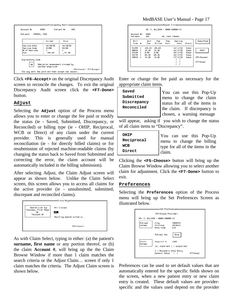| Recount #:<br>Patient #:<br>6999<br>455<br>TADROS, TONY<br>Patient:                                                  |
|----------------------------------------------------------------------------------------------------------------------|
|                                                                                                                      |
|                                                                                                                      |
| Billed<br>Paid                                                                                                       |
| 14/10/92<br>14/10/92<br>Service Date<br>A135A<br>A1338<br>Service Code<br># of Services<br>104.40<br>$-52.40$<br>Fee |

Click **<F6-Accept>** on the original Discrepancy Audit screen to reconcile the changes. To exit the original Discrepancy Audit screen click the **<F7-Done>** button.

#### **Adjust**

Selecting the **Adjust** option of the Process menu allows you to enter or change the fee paid or modify the status (ie - Saved, Submitted, Discrepancy, or Reconciled) or billing type (ie - OHIP, Reciprocal, WCB or Direct) of any claim under the current provider. This is generally used for manual reconciliation (ie - for directly billed claims) or for resubmission of rejected machine-readable claims (by changing the status back to Saved from Submitted and correcting the error, the claim account will be automatically included in the billing submission).

After selecting Adjust, the Claim Adjust screen will appear as shown below. Unlike the Claim Select screen, this screen allows you to access all claims for the active provider (ie - unsubmitted, submitted, discrepant and reconciled claims).

| Search List by:       | — Clαim Adjust——          |
|-----------------------|---------------------------|
| 'Surname, First Name' | All Claims:               |
| 0B.                   | HA_                       |
| 'Account #'           | Awaiting search criteria. |
|                       | <f8-cancel></f8-cancel>   |

As with Claim Select, typing in either: (a) the patient's **surname, first name** or any portion thereof, or (b) the claim **Account #**, will bring up the the Claim Browse Window if more than 1 claim matches the search criteria or the Adjust Claim… screen if only 1 claim matches the criteria. The Adjust Claim screen is shown below.

MedBASE User's Manual - Page 17

| Rocount #:<br>Patient: |    | 6999<br>455 |                      | MR. TONY TADROS |                 |        |                         |
|------------------------|----|-------------|----------------------|-----------------|-----------------|--------|-------------------------|
| Bill<br>Code           | #  | Unit<br>Fee | Fee<br><b>Billed</b> | Fee<br>Paid     | Service<br>Date | Status | Submitted               |
| A135A                  | 1  | 104.40      | 104.40               |                 | 14/11/92        | Submi  |                         |
| <b>A001A</b>           | 1. | 16.10       | 16.10                |                 | 14/11/92        | Submi  | OHIP                    |
| G313A                  |    | 8.80        | 8.80                 |                 | 15/11/92        | Submi  |                         |
| Z437A                  | 1  | 60.20       | 60.20                |                 | 16/11/92        | Submi  |                         |
| J001A                  | 1  | 19.30       | 19.30                |                 | 17/11/92        | Submi  | <f5-choose></f5-choose> |
|                        |    |             |                      |                 |                 |        | <f7-done></f7-done>     |

Enter or change the fee paid as necessary for the appropriate claim items.

| Saved       |                                                                |
|-------------|----------------------------------------------------------------|
| Submitted   | You can use this Pop-Up<br>menu to change the claim            |
| Discrepancy |                                                                |
| Reconciled  | status for all of the items in<br>the claim. If discrepancy is |
|             | chosen, a warning message                                      |

will appear, asking if you wish to change the status of all claim items to "Discrepancy".

| OHIP       | You can    |
|------------|------------|
| Reciprocal | menu to    |
| WCB        | type for a |
| Direct     | claim.     |

use this Pop-Up change the billing Il of the items in the

Clicking the **<F5-Choose>** button will bring up the Claim Browse Window allowing you to select another claim for adjustment. Click the **<F7-Done>** button to exit.

#### **Preferences**

Selecting the **Preferences** option of the Process menu will bring up the Set Preferences Screen as illustrated below.

|                   | ———— Set Preferences=                         |                                                 |                     |
|-------------------|-----------------------------------------------|-------------------------------------------------|---------------------|
|                   | <f5-choose provider=""></f5-choose>           |                                                 |                     |
|                   | DR. J. ALLISON - 0000-100008-13               |                                                 |                     |
| Patient<br>Screen | City<br>Province ONTARIO<br>Area Code         | <b>TORONTO</b><br>416                           |                     |
|                   | Patient Sex                                   | Male                                            |                     |
| Claim<br>Screen   | Hospital # 1302                               |                                                 |                     |
|                   |                                               | $\left(\bullet\right)$ Inpatient ( ) Outpatient |                     |
|                   | [ ] Automatic Date Entry<br>Default Date: / / |                                                 | <f7-done></f7-done> |
|                   |                                               |                                                 |                     |

Preferences can be used to set default values that are automatically entered for the specific fields shown on the screen, when a new patient entry or new claim entry is created. These default values are providerspecific and the values used depend on the provider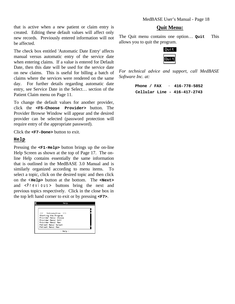that is active when a new patient or claim entry is created. Editing these default values will affect only new records. Previously entered information will not be affected.

The check box entitled 'Automatic Date Entry' affects manual versus automatic entry of the service date when entering claims. If a value is entered for Default Date, then this date will be used for the service date on new claims. This is useful for billing a batch of claims where the services were rendered on the same day. For further details regarding automatic date entry, see Service Date in the Select… section of the Patient Claim menu on Page 11.

To change the default values for another provider, click the **<F5-Choose Provider>** button. The Provider Browse Window will appear and the desired provider can be selected (password protection will require entry of the appropriate password).

Click the **<F7-Done>** button to exit.

## **Help**

Pressing the **<F1-Help>** button brings up the on-line Help Screen as shown at the top of Page 17. The online Help contains essentially the same information that is outlined in the MedBASE 3.0 Manual and is similarly organized according to menu items. To select a topic, click on the desired topic and then click on the <**Help>** button at the bottom. The **<Next>** and <Previous> buttons bring the next and previous topics respectively. Click in the close box in the top left hand corner to exit or by pressing **<F7>**.

| Help                                                                                                               |  |
|--------------------------------------------------------------------------------------------------------------------|--|
|                                                                                                                    |  |
| <<< Introduction >>><br>Starting the Program<br>Provider Menu: Choose<br>Provider Menu: Edit<br>Provider Menu: New |  |
| Patient Menu: Select<br>Patient Menu: New                                                                          |  |
| < Help >                                                                                                           |  |

# **Quit Menu:**

The Quit menu contains one option… **Quit** This allows you to quit the program.



*For technical advice and support, call MedBASE Software Inc. at:*

```
Phone / FAX - 416-778-5852
Cellular Line - 416-417-2743
```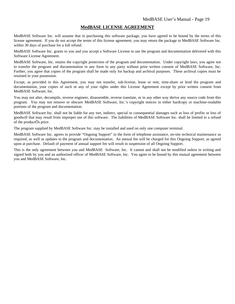#### **MedBASE LICENSE AGREEMENT**

MedBASE Software Inc. will assume that in purchasing this software package, you have agreed to be bound by the terms of this license agreement. If you do not accept the terms of this license agreement, you may return the package to MedBASE Software Inc. within 30 days of purchase for a full refund.

MedBASE Software Inc. grants to you and you accept a Software License to use the program and documentation delivered with this Software License Agreement.

MedBASE Software, Inc. retains the copyright protection of the program and documentation. Under copyright laws, you agree not to transfer the program and documentation in any form to any party without prior written consent of MedBASE Software, Inc. Further, you agree that copies of the program shall be made only for backup and archival purposes. These archival copies must be retained in your possession.

Except, as provided in this Agreement, you may not transfer, sub-license, lease or rent, time-share or lend the program and documentation, your copies of such ot any of your rights under this License Agreement except by prior written consent from MedBASE Software, Inc.

You may not alter, decompile, reverse engineer, disassemble, reverse translate, or in any other way derive any source code from this program. You may not remove or obscure MedBASE Software, Inc.'s copyright notices in either hardcopy or machine-readable portions of the program and documentation.

MedBASE Software Inc. shall not be liable for any tort, indirect, special or consequential damages such as loss of profits or loss of goodwill that may result from improper use of this software. The liabilities of MedBASE Software Inc. shall be limited to a refund of the productÕs price.

The program supplied by MedBASE Software Inc. may be installed and used on only one computer terminal.

MedBASE Software Inc. agrees to provide "Ongoing Support" in the form of telephone assistance, on-site technical maintenance as required, as well as updates to the program and documentation. An annual fee will be charged for this Ongoing Support, as agreed upon at purchase. Default of payment of annual support fee will result in suspension of all Ongoing Support.

This is the only agreement between you and MedBASE Software, Inc. It cannot and shall not be modified unless in writing and signed both by you and an authorized officer of MedBASE Software, Inc. You agree to be bound by this mutual agreement between you and MedBASE Software, Inc.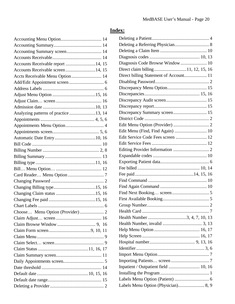# **Index:**

| Accounts Receivable report 14, 15<br>Accounts Receivable screen14, 15<br>Accts Receivable Menu Option 14<br>Analyzing patterns of practice 13, 14<br>Choose Menu Option (Provider) 2 |  |
|--------------------------------------------------------------------------------------------------------------------------------------------------------------------------------------|--|
|                                                                                                                                                                                      |  |
|                                                                                                                                                                                      |  |
|                                                                                                                                                                                      |  |
|                                                                                                                                                                                      |  |
|                                                                                                                                                                                      |  |
|                                                                                                                                                                                      |  |
|                                                                                                                                                                                      |  |
|                                                                                                                                                                                      |  |
|                                                                                                                                                                                      |  |
|                                                                                                                                                                                      |  |
|                                                                                                                                                                                      |  |
|                                                                                                                                                                                      |  |
|                                                                                                                                                                                      |  |
|                                                                                                                                                                                      |  |
|                                                                                                                                                                                      |  |
|                                                                                                                                                                                      |  |
|                                                                                                                                                                                      |  |
|                                                                                                                                                                                      |  |
|                                                                                                                                                                                      |  |
|                                                                                                                                                                                      |  |
|                                                                                                                                                                                      |  |
|                                                                                                                                                                                      |  |
|                                                                                                                                                                                      |  |
|                                                                                                                                                                                      |  |
|                                                                                                                                                                                      |  |
|                                                                                                                                                                                      |  |
|                                                                                                                                                                                      |  |
|                                                                                                                                                                                      |  |
|                                                                                                                                                                                      |  |
|                                                                                                                                                                                      |  |
|                                                                                                                                                                                      |  |
|                                                                                                                                                                                      |  |
|                                                                                                                                                                                      |  |
|                                                                                                                                                                                      |  |
|                                                                                                                                                                                      |  |
|                                                                                                                                                                                      |  |
|                                                                                                                                                                                      |  |
|                                                                                                                                                                                      |  |
|                                                                                                                                                                                      |  |
|                                                                                                                                                                                      |  |
|                                                                                                                                                                                      |  |
|                                                                                                                                                                                      |  |

| Diagnosis Code Browse Window  10       |
|----------------------------------------|
| Direct claim billing11, 12, 15, 16     |
| Direct billing Statement of Account 11 |
|                                        |
|                                        |
|                                        |
|                                        |
|                                        |
|                                        |
|                                        |
|                                        |
|                                        |
| Edit Service Code Fees screen  12      |
|                                        |
|                                        |
|                                        |
|                                        |
|                                        |
|                                        |
|                                        |
|                                        |
|                                        |
|                                        |
|                                        |
|                                        |
| Health Number 3, 4, 7, 10, 13          |
|                                        |
|                                        |
|                                        |
|                                        |
|                                        |
|                                        |
|                                        |
| Inpatient / Outpatient field  10, 16   |
|                                        |
|                                        |
| Labels Menu Option (Physician) 8, 9    |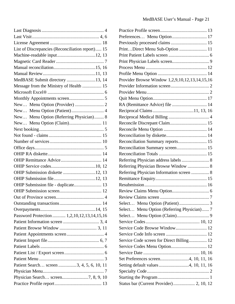| List of Discrepancies (Reconciliation report) 15 |
|--------------------------------------------------|
| Machine-readable input12, 13                     |
|                                                  |
|                                                  |
|                                                  |
| MedBASE Submit directory 13, 14                  |
| Message from the Ministry of Health  15          |
|                                                  |
|                                                  |
|                                                  |
|                                                  |
| New Menu Option (Referring Physician) 8          |
| New Menu Option (Claim) 11                       |
|                                                  |
|                                                  |
|                                                  |
|                                                  |
|                                                  |
|                                                  |
|                                                  |
|                                                  |
|                                                  |
| OHIP Submission file - duplicate 13              |
|                                                  |
|                                                  |
|                                                  |
|                                                  |
| Password Protection  1,2,10,12,13,14,15,16       |
|                                                  |
|                                                  |
|                                                  |
|                                                  |
|                                                  |
|                                                  |
|                                                  |
| Patient Search screen3, 4, 5, 6, 10, 11          |
|                                                  |
|                                                  |
|                                                  |

| Preferences Menu Option 17                     |  |
|------------------------------------------------|--|
|                                                |  |
| PrintDirect Menu Sub-Option  11                |  |
|                                                |  |
|                                                |  |
|                                                |  |
|                                                |  |
| Provider Browse Window 1,2,9,10,12,13,14,15,16 |  |
|                                                |  |
|                                                |  |
|                                                |  |
| RA (Remittance Advice) file  14                |  |
|                                                |  |
|                                                |  |
|                                                |  |
|                                                |  |
|                                                |  |
|                                                |  |
|                                                |  |
|                                                |  |
|                                                |  |
| Referring Physician Browse Window  8           |  |
| Referring Physician Information screen  8      |  |
|                                                |  |
|                                                |  |
|                                                |  |
|                                                |  |
|                                                |  |
| Select Menu Option (Referring Physician) 7     |  |
|                                                |  |
|                                                |  |
| Service Code Browse Window 12                  |  |
|                                                |  |
| Service Code screen for Direct Billing 12      |  |
| Service Codes Menu Option 12                   |  |
|                                                |  |
|                                                |  |
| Setting default values 4, 10, 11, 16           |  |
|                                                |  |
|                                                |  |
| Status bar (Current Provider) 2, 10, 12        |  |
|                                                |  |